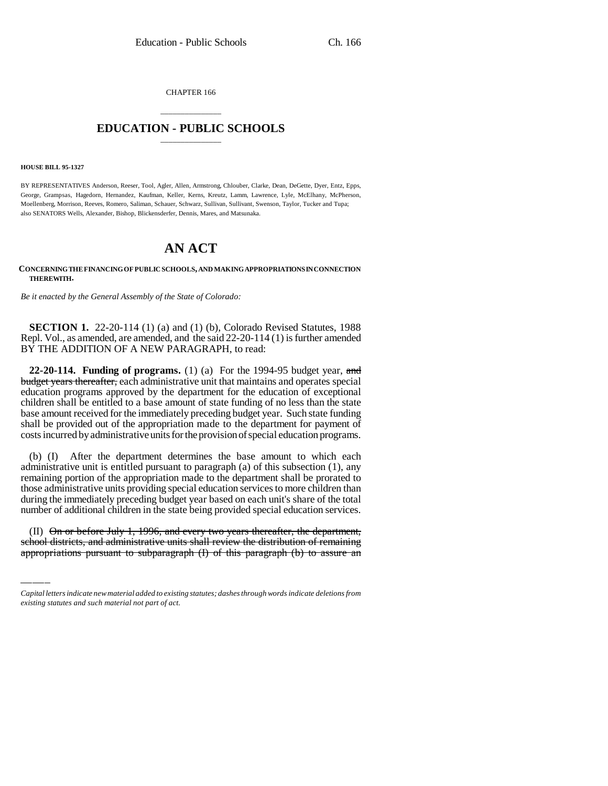CHAPTER 166

## \_\_\_\_\_\_\_\_\_\_\_\_\_\_\_ **EDUCATION - PUBLIC SCHOOLS** \_\_\_\_\_\_\_\_\_\_\_\_\_\_\_

**HOUSE BILL 95-1327**

BY REPRESENTATIVES Anderson, Reeser, Tool, Agler, Allen, Armstrong, Chlouber, Clarke, Dean, DeGette, Dyer, Entz, Epps, George, Grampsas, Hagedorn, Hernandez, Kaufman, Keller, Kerns, Kreutz, Lamm, Lawrence, Lyle, McElhany, McPherson, Moellenberg, Morrison, Reeves, Romero, Saliman, Schauer, Schwarz, Sullivan, Sullivant, Swenson, Taylor, Tucker and Tupa; also SENATORS Wells, Alexander, Bishop, Blickensderfer, Dennis, Mares, and Matsunaka.

## **AN ACT**

**CONCERNING THE FINANCING OF PUBLIC SCHOOLS, AND MAKING APPROPRIATIONS IN CONNECTION THEREWITH.**

*Be it enacted by the General Assembly of the State of Colorado:*

**SECTION 1.** 22-20-114 (1) (a) and (1) (b), Colorado Revised Statutes, 1988 Repl. Vol., as amended, are amended, and the said 22-20-114 (1) is further amended BY THE ADDITION OF A NEW PARAGRAPH, to read:

**22-20-114. Funding of programs.** (1) (a) For the 1994-95 budget year, and budget years thereafter, each administrative unit that maintains and operates special education programs approved by the department for the education of exceptional children shall be entitled to a base amount of state funding of no less than the state base amount received for the immediately preceding budget year. Such state funding shall be provided out of the appropriation made to the department for payment of costs incurred by administrative units for the provision of special education programs.

number of additional children in the state being provided special education services. (b) (I) After the department determines the base amount to which each administrative unit is entitled pursuant to paragraph (a) of this subsection (1), any remaining portion of the appropriation made to the department shall be prorated to those administrative units providing special education services to more children than during the immediately preceding budget year based on each unit's share of the total

(II) On or before July 1, 1996, and every two years thereafter, the department, school districts, and administrative units shall review the distribution of remaining appropriations pursuant to subparagraph (I) of this paragraph (b) to assure an

*Capital letters indicate new material added to existing statutes; dashes through words indicate deletions from existing statutes and such material not part of act.*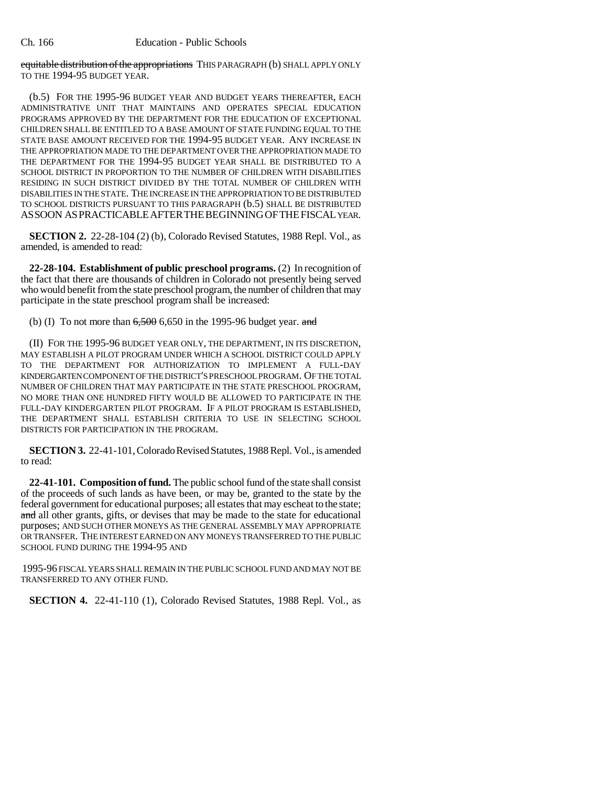equitable distribution of the appropriations THIS PARAGRAPH (b) SHALL APPLY ONLY TO THE 1994-95 BUDGET YEAR.

(b.5) FOR THE 1995-96 BUDGET YEAR AND BUDGET YEARS THEREAFTER, EACH ADMINISTRATIVE UNIT THAT MAINTAINS AND OPERATES SPECIAL EDUCATION PROGRAMS APPROVED BY THE DEPARTMENT FOR THE EDUCATION OF EXCEPTIONAL CHILDREN SHALL BE ENTITLED TO A BASE AMOUNT OF STATE FUNDING EQUAL TO THE STATE BASE AMOUNT RECEIVED FOR THE 1994-95 BUDGET YEAR. ANY INCREASE IN THE APPROPRIATION MADE TO THE DEPARTMENT OVER THE APPROPRIATION MADE TO THE DEPARTMENT FOR THE 1994-95 BUDGET YEAR SHALL BE DISTRIBUTED TO A SCHOOL DISTRICT IN PROPORTION TO THE NUMBER OF CHILDREN WITH DISABILITIES RESIDING IN SUCH DISTRICT DIVIDED BY THE TOTAL NUMBER OF CHILDREN WITH DISABILITIES IN THE STATE. THE INCREASE IN THE APPROPRIATION TO BE DISTRIBUTED TO SCHOOL DISTRICTS PURSUANT TO THIS PARAGRAPH (b.5) SHALL BE DISTRIBUTED ASSOON ASPRACTICABLEAFTERTHEBEGINNINGOFTHEFISCAL YEAR.

**SECTION 2.** 22-28-104 (2) (b), Colorado Revised Statutes, 1988 Repl. Vol., as amended, is amended to read:

**22-28-104. Establishment of public preschool programs.** (2) In recognition of the fact that there are thousands of children in Colorado not presently being served who would benefit from the state preschool program, the number of children that may participate in the state preschool program shall be increased:

(b) (I) To not more than  $6,500$  6,650 in the 1995-96 budget year. and

(II) FOR THE 1995-96 BUDGET YEAR ONLY, THE DEPARTMENT, IN ITS DISCRETION, MAY ESTABLISH A PILOT PROGRAM UNDER WHICH A SCHOOL DISTRICT COULD APPLY TO THE DEPARTMENT FOR AUTHORIZATION TO IMPLEMENT A FULL-DAY KINDERGARTEN COMPONENT OF THE DISTRICT'S PRESCHOOL PROGRAM. OF THE TOTAL NUMBER OF CHILDREN THAT MAY PARTICIPATE IN THE STATE PRESCHOOL PROGRAM, NO MORE THAN ONE HUNDRED FIFTY WOULD BE ALLOWED TO PARTICIPATE IN THE FULL-DAY KINDERGARTEN PILOT PROGRAM. IF A PILOT PROGRAM IS ESTABLISHED, THE DEPARTMENT SHALL ESTABLISH CRITERIA TO USE IN SELECTING SCHOOL DISTRICTS FOR PARTICIPATION IN THE PROGRAM.

**SECTION 3.** 22-41-101, Colorado Revised Statutes, 1988 Repl. Vol., is amended to read:

**22-41-101. Composition of fund.** The public school fund of the state shall consist of the proceeds of such lands as have been, or may be, granted to the state by the federal government for educational purposes; all estates that may escheat to the state; and all other grants, gifts, or devises that may be made to the state for educational purposes; AND SUCH OTHER MONEYS AS THE GENERAL ASSEMBLY MAY APPROPRIATE OR TRANSFER. THE INTEREST EARNED ON ANY MONEYS TRANSFERRED TO THE PUBLIC SCHOOL FUND DURING THE 1994-95 AND

1995-96 FISCAL YEARS SHALL REMAIN IN THE PUBLIC SCHOOL FUND AND MAY NOT BE TRANSFERRED TO ANY OTHER FUND.

**SECTION 4.** 22-41-110 (1), Colorado Revised Statutes, 1988 Repl. Vol., as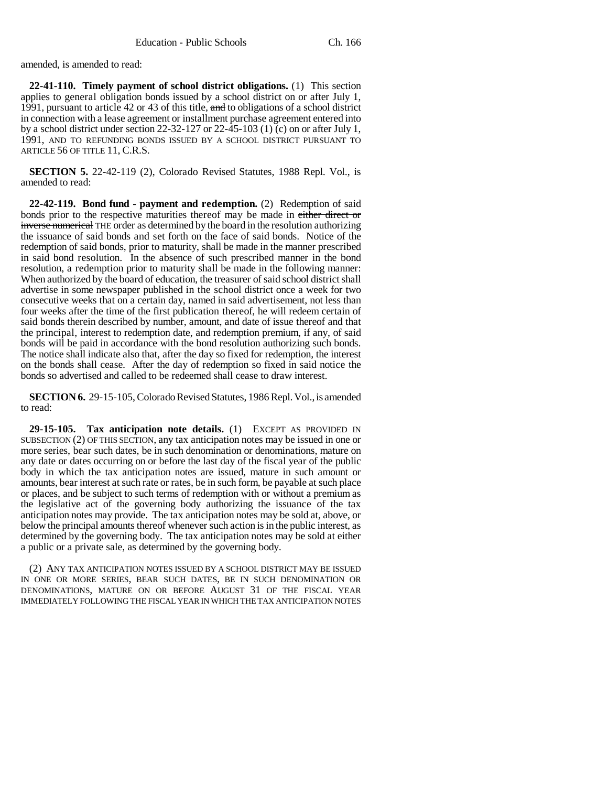amended, is amended to read:

**22-41-110. Timely payment of school district obligations.** (1) This section applies to general obligation bonds issued by a school district on or after July 1, 1991, pursuant to article 42 or 43 of this title, and to obligations of a school district in connection with a lease agreement or installment purchase agreement entered into by a school district under section 22-32-127 or 22-45-103 (1) (c) on or after July 1, 1991, AND TO REFUNDING BONDS ISSUED BY A SCHOOL DISTRICT PURSUANT TO ARTICLE 56 OF TITLE 11, C.R.S.

**SECTION 5.** 22-42-119 (2), Colorado Revised Statutes, 1988 Repl. Vol., is amended to read:

**22-42-119. Bond fund - payment and redemption.** (2) Redemption of said bonds prior to the respective maturities thereof may be made in either direct or inverse numerical THE order as determined by the board in the resolution authorizing the issuance of said bonds and set forth on the face of said bonds. Notice of the redemption of said bonds, prior to maturity, shall be made in the manner prescribed in said bond resolution. In the absence of such prescribed manner in the bond resolution, a redemption prior to maturity shall be made in the following manner: When authorized by the board of education, the treasurer of said school district shall advertise in some newspaper published in the school district once a week for two consecutive weeks that on a certain day, named in said advertisement, not less than four weeks after the time of the first publication thereof, he will redeem certain of said bonds therein described by number, amount, and date of issue thereof and that the principal, interest to redemption date, and redemption premium, if any, of said bonds will be paid in accordance with the bond resolution authorizing such bonds. The notice shall indicate also that, after the day so fixed for redemption, the interest on the bonds shall cease. After the day of redemption so fixed in said notice the bonds so advertised and called to be redeemed shall cease to draw interest.

**SECTION 6.** 29-15-105, Colorado Revised Statutes, 1986 Repl. Vol., is amended to read:

**29-15-105. Tax anticipation note details.** (1) EXCEPT AS PROVIDED IN SUBSECTION (2) OF THIS SECTION, any tax anticipation notes may be issued in one or more series, bear such dates, be in such denomination or denominations, mature on any date or dates occurring on or before the last day of the fiscal year of the public body in which the tax anticipation notes are issued, mature in such amount or amounts, bear interest at such rate or rates, be in such form, be payable at such place or places, and be subject to such terms of redemption with or without a premium as the legislative act of the governing body authorizing the issuance of the tax anticipation notes may provide. The tax anticipation notes may be sold at, above, or below the principal amounts thereof whenever such action is in the public interest, as determined by the governing body. The tax anticipation notes may be sold at either a public or a private sale, as determined by the governing body.

(2) ANY TAX ANTICIPATION NOTES ISSUED BY A SCHOOL DISTRICT MAY BE ISSUED IN ONE OR MORE SERIES, BEAR SUCH DATES, BE IN SUCH DENOMINATION OR DENOMINATIONS, MATURE ON OR BEFORE AUGUST 31 OF THE FISCAL YEAR IMMEDIATELY FOLLOWING THE FISCAL YEAR IN WHICH THE TAX ANTICIPATION NOTES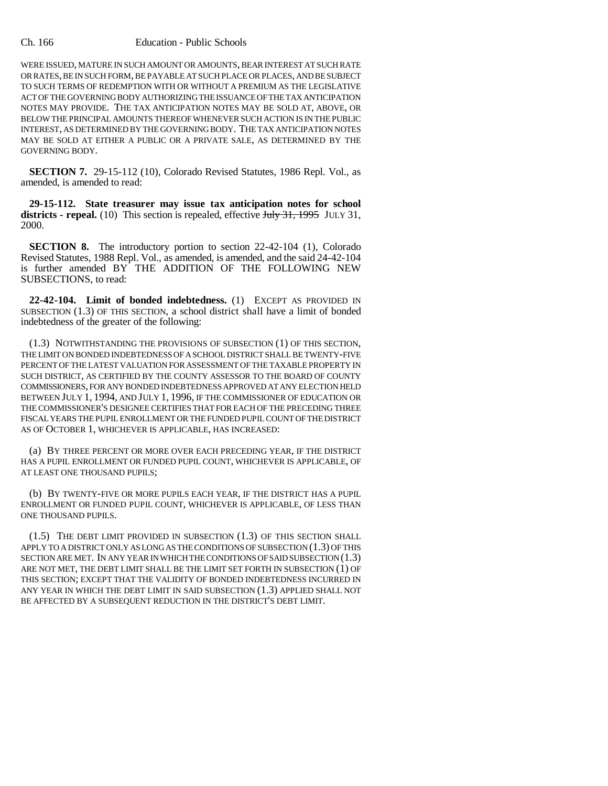## Ch. 166 Education - Public Schools

WERE ISSUED, MATURE IN SUCH AMOUNT OR AMOUNTS, BEAR INTEREST AT SUCH RATE OR RATES, BE IN SUCH FORM, BE PAYABLE AT SUCH PLACE OR PLACES, AND BE SUBJECT TO SUCH TERMS OF REDEMPTION WITH OR WITHOUT A PREMIUM AS THE LEGISLATIVE ACT OF THE GOVERNING BODY AUTHORIZING THE ISSUANCE OF THE TAX ANTICIPATION NOTES MAY PROVIDE. THE TAX ANTICIPATION NOTES MAY BE SOLD AT, ABOVE, OR BELOW THE PRINCIPAL AMOUNTS THEREOF WHENEVER SUCH ACTION IS IN THE PUBLIC INTEREST, AS DETERMINED BY THE GOVERNING BODY. THE TAX ANTICIPATION NOTES MAY BE SOLD AT EITHER A PUBLIC OR A PRIVATE SALE, AS DETERMINED BY THE GOVERNING BODY.

**SECTION 7.** 29-15-112 (10), Colorado Revised Statutes, 1986 Repl. Vol., as amended, is amended to read:

**29-15-112. State treasurer may issue tax anticipation notes for school** districts - repeal. (10) This section is repealed, effective Hul<del>y 31, 1995</del> JULY 31, 2000.

**SECTION 8.** The introductory portion to section 22-42-104 (1), Colorado Revised Statutes, 1988 Repl. Vol., as amended, is amended, and the said 24-42-104 is further amended BY THE ADDITION OF THE FOLLOWING NEW SUBSECTIONS, to read:

**22-42-104. Limit of bonded indebtedness.** (1) EXCEPT AS PROVIDED IN SUBSECTION (1.3) OF THIS SECTION, a school district shall have a limit of bonded indebtedness of the greater of the following:

(1.3) NOTWITHSTANDING THE PROVISIONS OF SUBSECTION (1) OF THIS SECTION, THE LIMIT ON BONDED INDEBTEDNESS OF A SCHOOL DISTRICT SHALL BE TWENTY-FIVE PERCENT OF THE LATEST VALUATION FOR ASSESSMENT OF THE TAXABLE PROPERTY IN SUCH DISTRICT, AS CERTIFIED BY THE COUNTY ASSESSOR TO THE BOARD OF COUNTY COMMISSIONERS, FOR ANY BONDED INDEBTEDNESS APPROVED AT ANY ELECTION HELD BETWEEN JULY 1, 1994, AND JULY 1, 1996, IF THE COMMISSIONER OF EDUCATION OR THE COMMISSIONER'S DESIGNEE CERTIFIES THAT FOR EACH OF THE PRECEDING THREE FISCAL YEARS THE PUPIL ENROLLMENT OR THE FUNDED PUPIL COUNT OF THE DISTRICT AS OF OCTOBER 1, WHICHEVER IS APPLICABLE, HAS INCREASED:

(a) BY THREE PERCENT OR MORE OVER EACH PRECEDING YEAR, IF THE DISTRICT HAS A PUPIL ENROLLMENT OR FUNDED PUPIL COUNT, WHICHEVER IS APPLICABLE, OF AT LEAST ONE THOUSAND PUPILS;

(b) BY TWENTY-FIVE OR MORE PUPILS EACH YEAR, IF THE DISTRICT HAS A PUPIL ENROLLMENT OR FUNDED PUPIL COUNT, WHICHEVER IS APPLICABLE, OF LESS THAN ONE THOUSAND PUPILS.

(1.5) THE DEBT LIMIT PROVIDED IN SUBSECTION (1.3) OF THIS SECTION SHALL APPLY TO A DISTRICT ONLY AS LONG AS THE CONDITIONS OF SUBSECTION (1.3) OF THIS SECTION ARE MET. IN ANY YEAR IN WHICH THE CONDITIONS OF SAID SUBSECTION (1.3) ARE NOT MET, THE DEBT LIMIT SHALL BE THE LIMIT SET FORTH IN SUBSECTION (1) OF THIS SECTION; EXCEPT THAT THE VALIDITY OF BONDED INDEBTEDNESS INCURRED IN ANY YEAR IN WHICH THE DEBT LIMIT IN SAID SUBSECTION (1.3) APPLIED SHALL NOT BE AFFECTED BY A SUBSEQUENT REDUCTION IN THE DISTRICT'S DEBT LIMIT.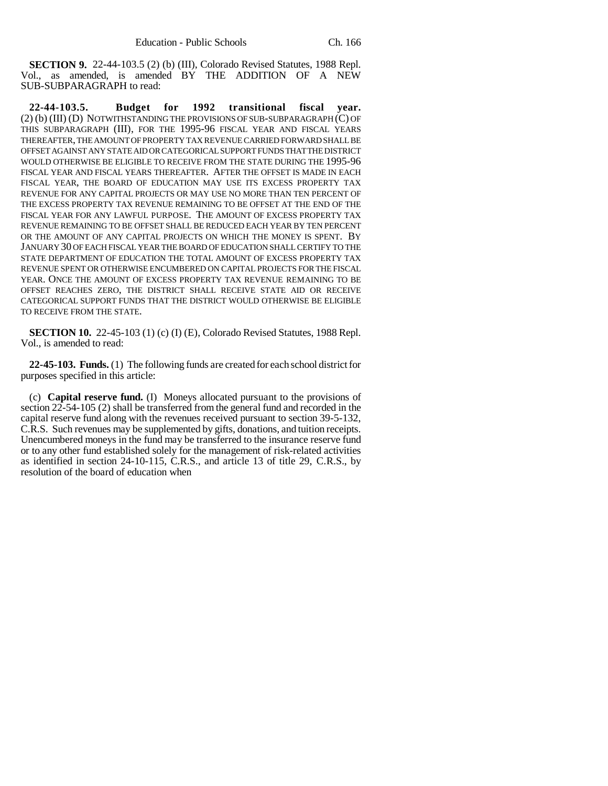**SECTION 9.** 22-44-103.5 (2) (b) (III), Colorado Revised Statutes, 1988 Repl. Vol., as amended, is amended BY THE ADDITION OF A NEW SUB-SUBPARAGRAPH to read:

**22-44-103.5. Budget for 1992 transitional fiscal year.** (2) (b) (III) (D) NOTWITHSTANDING THE PROVISIONS OF SUB-SUBPARAGRAPH (C) OF THIS SUBPARAGRAPH (III), FOR THE 1995-96 FISCAL YEAR AND FISCAL YEARS THEREAFTER, THE AMOUNT OF PROPERTY TAX REVENUE CARRIED FORWARD SHALL BE OFFSET AGAINST ANY STATE AID OR CATEGORICAL SUPPORT FUNDS THAT THE DISTRICT WOULD OTHERWISE BE ELIGIBLE TO RECEIVE FROM THE STATE DURING THE 1995-96 FISCAL YEAR AND FISCAL YEARS THEREAFTER. AFTER THE OFFSET IS MADE IN EACH FISCAL YEAR, THE BOARD OF EDUCATION MAY USE ITS EXCESS PROPERTY TAX REVENUE FOR ANY CAPITAL PROJECTS OR MAY USE NO MORE THAN TEN PERCENT OF THE EXCESS PROPERTY TAX REVENUE REMAINING TO BE OFFSET AT THE END OF THE FISCAL YEAR FOR ANY LAWFUL PURPOSE. THE AMOUNT OF EXCESS PROPERTY TAX REVENUE REMAINING TO BE OFFSET SHALL BE REDUCED EACH YEAR BY TEN PERCENT OR THE AMOUNT OF ANY CAPITAL PROJECTS ON WHICH THE MONEY IS SPENT. BY JANUARY 30 OF EACH FISCAL YEAR THE BOARD OF EDUCATION SHALL CERTIFY TO THE STATE DEPARTMENT OF EDUCATION THE TOTAL AMOUNT OF EXCESS PROPERTY TAX REVENUE SPENT OR OTHERWISE ENCUMBERED ON CAPITAL PROJECTS FOR THE FISCAL YEAR. ONCE THE AMOUNT OF EXCESS PROPERTY TAX REVENUE REMAINING TO BE OFFSET REACHES ZERO, THE DISTRICT SHALL RECEIVE STATE AID OR RECEIVE CATEGORICAL SUPPORT FUNDS THAT THE DISTRICT WOULD OTHERWISE BE ELIGIBLE TO RECEIVE FROM THE STATE.

**SECTION 10.** 22-45-103 (1) (c) (I) (E), Colorado Revised Statutes, 1988 Repl. Vol., is amended to read:

**22-45-103. Funds.** (1) The following funds are created for each school district for purposes specified in this article:

(c) **Capital reserve fund.** (I) Moneys allocated pursuant to the provisions of section 22-54-105 (2) shall be transferred from the general fund and recorded in the capital reserve fund along with the revenues received pursuant to section 39-5-132, C.R.S. Such revenues may be supplemented by gifts, donations, and tuition receipts. Unencumbered moneys in the fund may be transferred to the insurance reserve fund or to any other fund established solely for the management of risk-related activities as identified in section 24-10-115, C.R.S., and article 13 of title 29, C.R.S., by resolution of the board of education when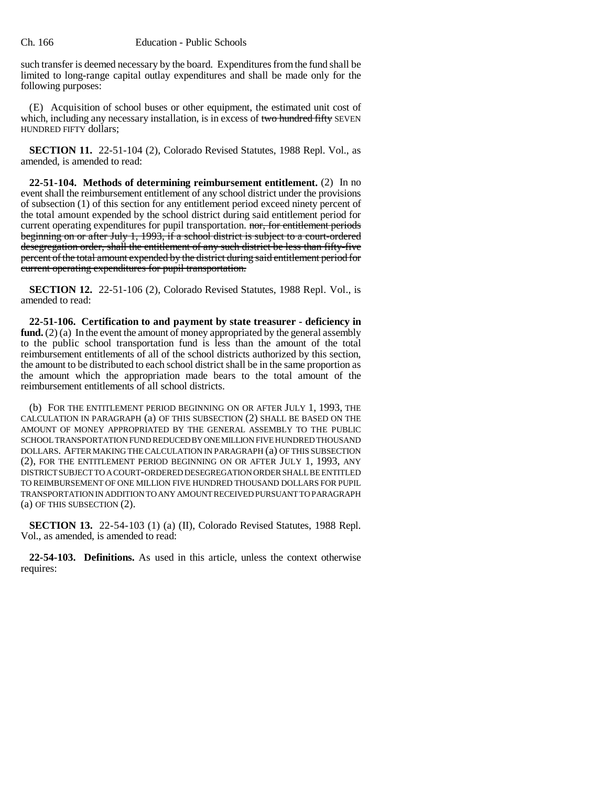such transfer is deemed necessary by the board. Expenditures from the fund shall be limited to long-range capital outlay expenditures and shall be made only for the following purposes:

(E) Acquisition of school buses or other equipment, the estimated unit cost of which, including any necessary installation, is in excess of two hundred fifty SEVEN HUNDRED FIFTY dollars;

**SECTION 11.** 22-51-104 (2), Colorado Revised Statutes, 1988 Repl. Vol., as amended, is amended to read:

**22-51-104. Methods of determining reimbursement entitlement.** (2) In no event shall the reimbursement entitlement of any school district under the provisions of subsection (1) of this section for any entitlement period exceed ninety percent of the total amount expended by the school district during said entitlement period for current operating expenditures for pupil transportation. nor, for entitlement periods beginning on or after July 1, 1993, if a school district is subject to a court-ordered desegregation order, shall the entitlement of any such district be less than fifty-five percent of the total amount expended by the district during said entitlement period for current operating expenditures for pupil transportation.

**SECTION 12.** 22-51-106 (2), Colorado Revised Statutes, 1988 Repl. Vol., is amended to read:

**22-51-106. Certification to and payment by state treasurer - deficiency in fund.** (2) (a) In the event the amount of money appropriated by the general assembly to the public school transportation fund is less than the amount of the total reimbursement entitlements of all of the school districts authorized by this section, the amount to be distributed to each school district shall be in the same proportion as the amount which the appropriation made bears to the total amount of the reimbursement entitlements of all school districts.

(b) FOR THE ENTITLEMENT PERIOD BEGINNING ON OR AFTER JULY 1, 1993, THE CALCULATION IN PARAGRAPH (a) OF THIS SUBSECTION (2) SHALL BE BASED ON THE AMOUNT OF MONEY APPROPRIATED BY THE GENERAL ASSEMBLY TO THE PUBLIC SCHOOL TRANSPORTATION FUND REDUCED BY ONE MILLION FIVE HUNDRED THOUSAND DOLLARS. AFTER MAKING THE CALCULATION IN PARAGRAPH (a) OF THIS SUBSECTION (2), FOR THE ENTITLEMENT PERIOD BEGINNING ON OR AFTER JULY 1, 1993, ANY DISTRICT SUBJECT TO A COURT-ORDERED DESEGREGATION ORDER SHALL BE ENTITLED TO REIMBURSEMENT OF ONE MILLION FIVE HUNDRED THOUSAND DOLLARS FOR PUPIL TRANSPORTATION IN ADDITION TO ANY AMOUNT RECEIVED PURSUANT TO PARAGRAPH (a) OF THIS SUBSECTION (2).

**SECTION 13.** 22-54-103 (1) (a) (II), Colorado Revised Statutes, 1988 Repl. Vol., as amended, is amended to read:

**22-54-103. Definitions.** As used in this article, unless the context otherwise requires: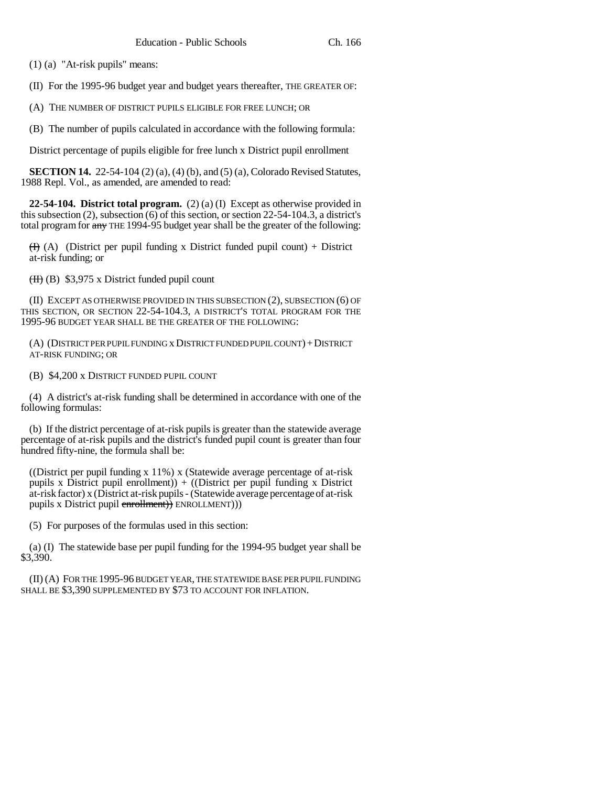(1) (a) "At-risk pupils" means:

(II) For the 1995-96 budget year and budget years thereafter, THE GREATER OF:

(A) THE NUMBER OF DISTRICT PUPILS ELIGIBLE FOR FREE LUNCH; OR

(B) The number of pupils calculated in accordance with the following formula:

District percentage of pupils eligible for free lunch x District pupil enrollment

**SECTION 14.** 22-54-104 (2) (a), (4) (b), and (5) (a), Colorado Revised Statutes, 1988 Repl. Vol., as amended, are amended to read:

**22-54-104. District total program.** (2) (a) (I) Except as otherwise provided in this subsection (2), subsection (6) of this section, or section 22-54-104.3, a district's total program for  $\frac{any}{n}$  THE 1994-95 budget year shall be the greater of the following:

 $(H)$  (A) (District per pupil funding x District funded pupil count) + District at-risk funding; or

 $(H)$  (B) \$3,975 x District funded pupil count

(II) EXCEPT AS OTHERWISE PROVIDED IN THIS SUBSECTION (2), SUBSECTION (6) OF THIS SECTION, OR SECTION 22-54-104.3, A DISTRICT'S TOTAL PROGRAM FOR THE 1995-96 BUDGET YEAR SHALL BE THE GREATER OF THE FOLLOWING:

(A) (DISTRICT PER PUPIL FUNDING x DISTRICT FUNDED PUPIL COUNT)+DISTRICT AT-RISK FUNDING; OR

(B) \$4,200 x DISTRICT FUNDED PUPIL COUNT

(4) A district's at-risk funding shall be determined in accordance with one of the following formulas:

(b) If the district percentage of at-risk pupils is greater than the statewide average percentage of at-risk pupils and the district's funded pupil count is greater than four hundred fifty-nine, the formula shall be:

((District per pupil funding x 11%) x (Statewide average percentage of at-risk pupils x District pupil enrollment)) + ((District per pupil funding x District at-risk factor) x (District at-risk pupils - (Statewide average percentage of at-risk pupils x District pupil enrollment)) ENROLLMENT))

(5) For purposes of the formulas used in this section:

(a) (I) The statewide base per pupil funding for the 1994-95 budget year shall be \$3,390.

(II) (A) FOR THE 1995-96 BUDGET YEAR, THE STATEWIDE BASE PER PUPIL FUNDING SHALL BE \$3,390 SUPPLEMENTED BY \$73 TO ACCOUNT FOR INFLATION.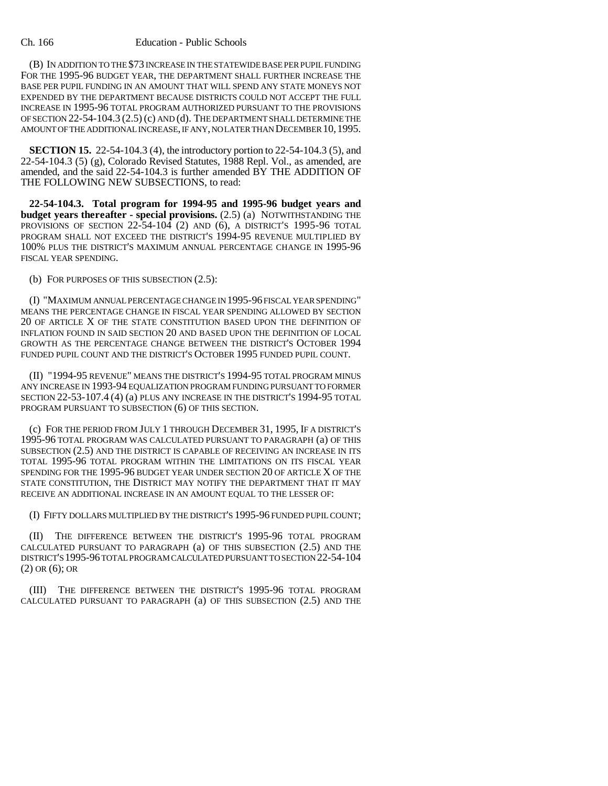## Ch. 166 Education - Public Schools

(B) IN ADDITION TO THE \$73 INCREASE IN THE STATEWIDE BASE PER PUPIL FUNDING FOR THE 1995-96 BUDGET YEAR, THE DEPARTMENT SHALL FURTHER INCREASE THE BASE PER PUPIL FUNDING IN AN AMOUNT THAT WILL SPEND ANY STATE MONEYS NOT EXPENDED BY THE DEPARTMENT BECAUSE DISTRICTS COULD NOT ACCEPT THE FULL INCREASE IN 1995-96 TOTAL PROGRAM AUTHORIZED PURSUANT TO THE PROVISIONS OF SECTION 22-54-104.3 (2.5) (c) AND (d). THE DEPARTMENT SHALL DETERMINE THE AMOUNT OF THE ADDITIONAL INCREASE, IF ANY, NO LATER THAN DECEMBER 10,1995.

**SECTION 15.** 22-54-104.3 (4), the introductory portion to 22-54-104.3 (5), and 22-54-104.3 (5) (g), Colorado Revised Statutes, 1988 Repl. Vol., as amended, are amended, and the said 22-54-104.3 is further amended BY THE ADDITION OF THE FOLLOWING NEW SUBSECTIONS, to read:

**22-54-104.3. Total program for 1994-95 and 1995-96 budget years and budget years thereafter - special provisions.** (2.5) (a) NOTWITHSTANDING THE PROVISIONS OF SECTION 22-54-104 (2) AND (6), A DISTRICT'S 1995-96 TOTAL PROGRAM SHALL NOT EXCEED THE DISTRICT'S 1994-95 REVENUE MULTIPLIED BY 100% PLUS THE DISTRICT'S MAXIMUM ANNUAL PERCENTAGE CHANGE IN 1995-96 FISCAL YEAR SPENDING.

(b) FOR PURPOSES OF THIS SUBSECTION (2.5):

(I) "MAXIMUM ANNUAL PERCENTAGE CHANGE IN 1995-96 FISCAL YEAR SPENDING" MEANS THE PERCENTAGE CHANGE IN FISCAL YEAR SPENDING ALLOWED BY SECTION 20 OF ARTICLE X OF THE STATE CONSTITUTION BASED UPON THE DEFINITION OF INFLATION FOUND IN SAID SECTION 20 AND BASED UPON THE DEFINITION OF LOCAL GROWTH AS THE PERCENTAGE CHANGE BETWEEN THE DISTRICT'S OCTOBER 1994 FUNDED PUPIL COUNT AND THE DISTRICT'S OCTOBER 1995 FUNDED PUPIL COUNT.

(II) "1994-95 REVENUE" MEANS THE DISTRICT'S 1994-95 TOTAL PROGRAM MINUS ANY INCREASE IN 1993-94 EQUALIZATION PROGRAM FUNDING PURSUANT TO FORMER SECTION 22-53-107.4 (4) (a) PLUS ANY INCREASE IN THE DISTRICT'S 1994-95 TOTAL PROGRAM PURSUANT TO SUBSECTION (6) OF THIS SECTION.

(c) FOR THE PERIOD FROM JULY 1 THROUGH DECEMBER 31, 1995, IF A DISTRICT'S 1995-96 TOTAL PROGRAM WAS CALCULATED PURSUANT TO PARAGRAPH (a) OF THIS SUBSECTION (2.5) AND THE DISTRICT IS CAPABLE OF RECEIVING AN INCREASE IN ITS TOTAL 1995-96 TOTAL PROGRAM WITHIN THE LIMITATIONS ON ITS FISCAL YEAR SPENDING FOR THE 1995-96 BUDGET YEAR UNDER SECTION 20 OF ARTICLE X OF THE STATE CONSTITUTION, THE DISTRICT MAY NOTIFY THE DEPARTMENT THAT IT MAY RECEIVE AN ADDITIONAL INCREASE IN AN AMOUNT EQUAL TO THE LESSER OF:

(I) FIFTY DOLLARS MULTIPLIED BY THE DISTRICT'S 1995-96 FUNDED PUPIL COUNT;

(II) THE DIFFERENCE BETWEEN THE DISTRICT'S 1995-96 TOTAL PROGRAM CALCULATED PURSUANT TO PARAGRAPH (a) OF THIS SUBSECTION (2.5) AND THE DISTRICT'S 1995-96 TOTAL PROGRAM CALCULATED PURSUANT TO SECTION 22-54-104 (2) OR (6); OR

(III) THE DIFFERENCE BETWEEN THE DISTRICT'S 1995-96 TOTAL PROGRAM CALCULATED PURSUANT TO PARAGRAPH (a) OF THIS SUBSECTION (2.5) AND THE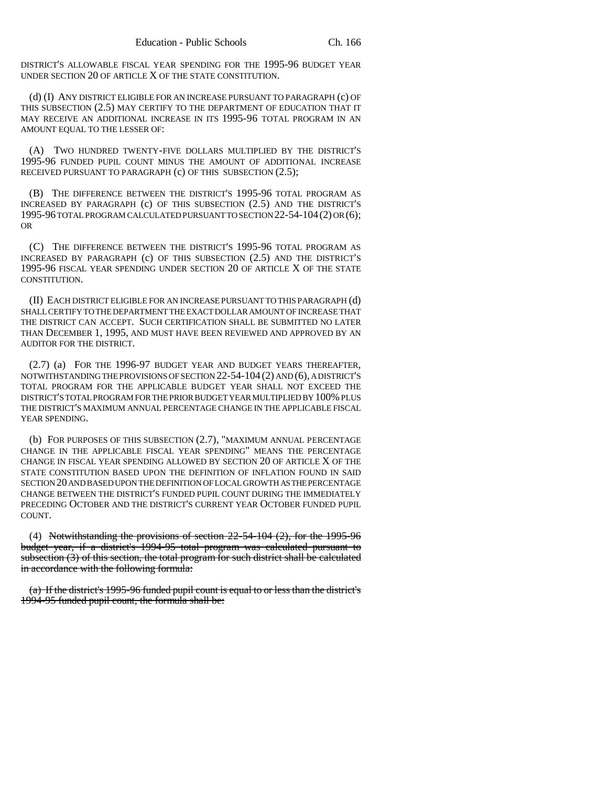DISTRICT'S ALLOWABLE FISCAL YEAR SPENDING FOR THE 1995-96 BUDGET YEAR UNDER SECTION 20 OF ARTICLE X OF THE STATE CONSTITUTION.

(d) (I) ANY DISTRICT ELIGIBLE FOR AN INCREASE PURSUANT TO PARAGRAPH (c) OF THIS SUBSECTION (2.5) MAY CERTIFY TO THE DEPARTMENT OF EDUCATION THAT IT MAY RECEIVE AN ADDITIONAL INCREASE IN ITS 1995-96 TOTAL PROGRAM IN AN AMOUNT EQUAL TO THE LESSER OF:

(A) TWO HUNDRED TWENTY-FIVE DOLLARS MULTIPLIED BY THE DISTRICT'S 1995-96 FUNDED PUPIL COUNT MINUS THE AMOUNT OF ADDITIONAL INCREASE RECEIVED PURSUANT TO PARAGRAPH (c) OF THIS SUBSECTION (2.5);

(B) THE DIFFERENCE BETWEEN THE DISTRICT'S 1995-96 TOTAL PROGRAM AS INCREASED BY PARAGRAPH (c) OF THIS SUBSECTION (2.5) AND THE DISTRICT'S 1995-96 TOTAL PROGRAM CALCULATED PURSUANT TO SECTION 22-54-104(2) OR (6); OR

(C) THE DIFFERENCE BETWEEN THE DISTRICT'S 1995-96 TOTAL PROGRAM AS INCREASED BY PARAGRAPH (c) OF THIS SUBSECTION (2.5) AND THE DISTRICT'S 1995-96 FISCAL YEAR SPENDING UNDER SECTION 20 OF ARTICLE X OF THE STATE CONSTITUTION.

(II) EACH DISTRICT ELIGIBLE FOR AN INCREASE PURSUANT TO THIS PARAGRAPH (d) SHALL CERTIFY TO THE DEPARTMENT THE EXACT DOLLAR AMOUNT OF INCREASE THAT THE DISTRICT CAN ACCEPT. SUCH CERTIFICATION SHALL BE SUBMITTED NO LATER THAN DECEMBER 1, 1995, AND MUST HAVE BEEN REVIEWED AND APPROVED BY AN AUDITOR FOR THE DISTRICT.

(2.7) (a) FOR THE 1996-97 BUDGET YEAR AND BUDGET YEARS THEREAFTER, NOTWITHSTANDING THE PROVISIONS OF SECTION 22-54-104 (2) AND (6), A DISTRICT'S TOTAL PROGRAM FOR THE APPLICABLE BUDGET YEAR SHALL NOT EXCEED THE DISTRICT'S TOTAL PROGRAM FOR THE PRIOR BUDGET YEAR MULTIPLIED BY 100% PLUS THE DISTRICT'S MAXIMUM ANNUAL PERCENTAGE CHANGE IN THE APPLICABLE FISCAL YEAR SPENDING.

(b) FOR PURPOSES OF THIS SUBSECTION (2.7), "MAXIMUM ANNUAL PERCENTAGE CHANGE IN THE APPLICABLE FISCAL YEAR SPENDING" MEANS THE PERCENTAGE CHANGE IN FISCAL YEAR SPENDING ALLOWED BY SECTION 20 OF ARTICLE X OF THE STATE CONSTITUTION BASED UPON THE DEFINITION OF INFLATION FOUND IN SAID SECTION 20 AND BASED UPON THE DEFINITION OF LOCAL GROWTH AS THE PERCENTAGE CHANGE BETWEEN THE DISTRICT'S FUNDED PUPIL COUNT DURING THE IMMEDIATELY PRECEDING OCTOBER AND THE DISTRICT'S CURRENT YEAR OCTOBER FUNDED PUPIL COUNT.

(4) Notwithstanding the provisions of section 22-54-104 (2), for the 1995-96 budget year, if a district's 1994-95 total program was calculated pursuant to subsection (3) of this section, the total program for such district shall be calculated in accordance with the following formula:

(a) If the district's 1995-96 funded pupil count is equal to or less than the district's 1994-95 funded pupil count, the formula shall be: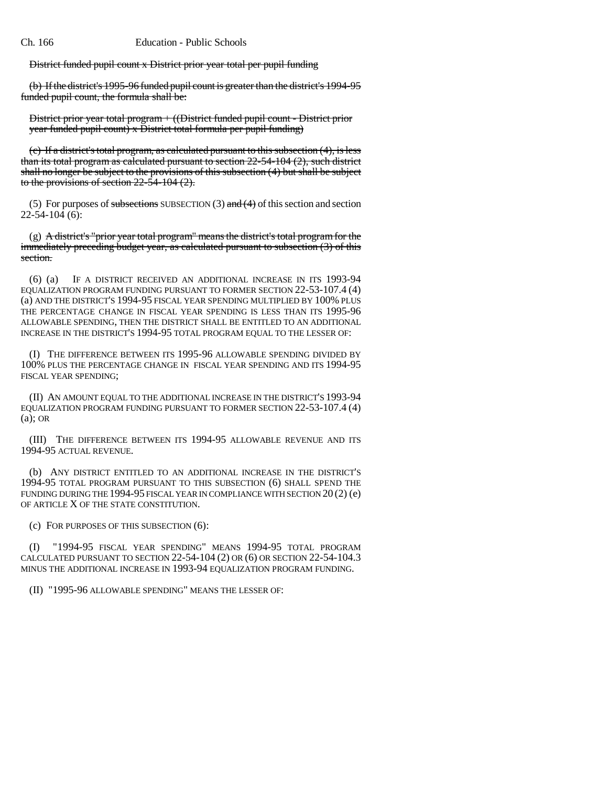District funded pupil count x District prior year total per pupil funding

(b) If the district's 1995-96 funded pupil count is greater than the district's 1994-95 funded pupil count, the formula shall be:

District prior year total program + ((District funded pupil count - District prior year funded pupil count) x District total formula per pupil funding)

(c) If a district's total program, as calculated pursuant to this subsection (4), is less than its total program as calculated pursuant to section 22-54-104 (2), such district shall no longer be subject to the provisions of this subsection (4) but shall be subject to the provisions of section  $22-54-104$  (2).

(5) For purposes of subsections SUBSECTION (3) and  $(4)$  of this section and section 22-54-104 (6):

(g) A district's "prior year total program" means the district's total program for the immediately preceding budget year, as calculated pursuant to subsection (3) of this section.

(6) (a) IF A DISTRICT RECEIVED AN ADDITIONAL INCREASE IN ITS 1993-94 EQUALIZATION PROGRAM FUNDING PURSUANT TO FORMER SECTION 22-53-107.4 (4) (a) AND THE DISTRICT'S 1994-95 FISCAL YEAR SPENDING MULTIPLIED BY 100% PLUS THE PERCENTAGE CHANGE IN FISCAL YEAR SPENDING IS LESS THAN ITS 1995-96 ALLOWABLE SPENDING, THEN THE DISTRICT SHALL BE ENTITLED TO AN ADDITIONAL INCREASE IN THE DISTRICT'S 1994-95 TOTAL PROGRAM EQUAL TO THE LESSER OF:

(I) THE DIFFERENCE BETWEEN ITS 1995-96 ALLOWABLE SPENDING DIVIDED BY 100% PLUS THE PERCENTAGE CHANGE IN FISCAL YEAR SPENDING AND ITS 1994-95 FISCAL YEAR SPENDING;

(II) AN AMOUNT EQUAL TO THE ADDITIONAL INCREASE IN THE DISTRICT'S 1993-94 EQUALIZATION PROGRAM FUNDING PURSUANT TO FORMER SECTION 22-53-107.4 (4) (a); OR

(III) THE DIFFERENCE BETWEEN ITS 1994-95 ALLOWABLE REVENUE AND ITS 1994-95 ACTUAL REVENUE.

(b) ANY DISTRICT ENTITLED TO AN ADDITIONAL INCREASE IN THE DISTRICT'S 1994-95 TOTAL PROGRAM PURSUANT TO THIS SUBSECTION (6) SHALL SPEND THE FUNDING DURING THE 1994-95 FISCAL YEAR IN COMPLIANCE WITH SECTION 20 (2) (e) OF ARTICLE X OF THE STATE CONSTITUTION.

(c) FOR PURPOSES OF THIS SUBSECTION (6):

(I) "1994-95 FISCAL YEAR SPENDING" MEANS 1994-95 TOTAL PROGRAM CALCULATED PURSUANT TO SECTION 22-54-104 (2) OR (6) OR SECTION 22-54-104.3 MINUS THE ADDITIONAL INCREASE IN 1993-94 EQUALIZATION PROGRAM FUNDING.

(II) "1995-96 ALLOWABLE SPENDING" MEANS THE LESSER OF: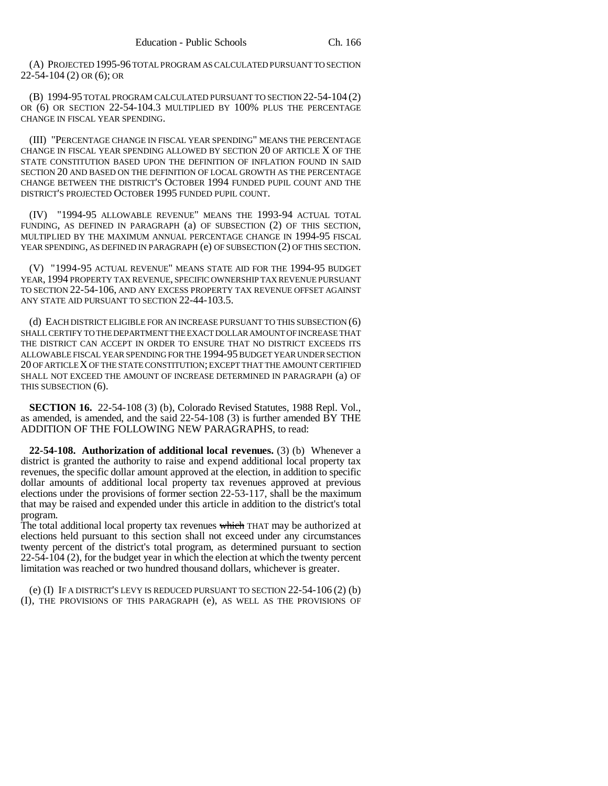(A) PROJECTED 1995-96 TOTAL PROGRAM AS CALCULATED PURSUANT TO SECTION 22-54-104 (2) OR (6); OR

(B) 1994-95 TOTAL PROGRAM CALCULATED PURSUANT TO SECTION 22-54-104 (2) OR (6) OR SECTION 22-54-104.3 MULTIPLIED BY 100% PLUS THE PERCENTAGE CHANGE IN FISCAL YEAR SPENDING.

(III) "PERCENTAGE CHANGE IN FISCAL YEAR SPENDING" MEANS THE PERCENTAGE CHANGE IN FISCAL YEAR SPENDING ALLOWED BY SECTION 20 OF ARTICLE X OF THE STATE CONSTITUTION BASED UPON THE DEFINITION OF INFLATION FOUND IN SAID SECTION 20 AND BASED ON THE DEFINITION OF LOCAL GROWTH AS THE PERCENTAGE CHANGE BETWEEN THE DISTRICT'S OCTOBER 1994 FUNDED PUPIL COUNT AND THE DISTRICT'S PROJECTED OCTOBER 1995 FUNDED PUPIL COUNT.

(IV) "1994-95 ALLOWABLE REVENUE" MEANS THE 1993-94 ACTUAL TOTAL FUNDING, AS DEFINED IN PARAGRAPH (a) OF SUBSECTION (2) OF THIS SECTION, MULTIPLIED BY THE MAXIMUM ANNUAL PERCENTAGE CHANGE IN 1994-95 FISCAL YEAR SPENDING, AS DEFINED IN PARAGRAPH (e) OF SUBSECTION (2) OF THIS SECTION.

(V) "1994-95 ACTUAL REVENUE" MEANS STATE AID FOR THE 1994-95 BUDGET YEAR, 1994 PROPERTY TAX REVENUE, SPECIFIC OWNERSHIP TAX REVENUE PURSUANT TO SECTION 22-54-106, AND ANY EXCESS PROPERTY TAX REVENUE OFFSET AGAINST ANY STATE AID PURSUANT TO SECTION 22-44-103.5.

(d) EACH DISTRICT ELIGIBLE FOR AN INCREASE PURSUANT TO THIS SUBSECTION (6) SHALL CERTIFY TO THE DEPARTMENT THE EXACT DOLLAR AMOUNT OF INCREASE THAT THE DISTRICT CAN ACCEPT IN ORDER TO ENSURE THAT NO DISTRICT EXCEEDS ITS ALLOWABLE FISCAL YEAR SPENDING FOR THE 1994-95 BUDGET YEAR UNDER SECTION 20 OF ARTICLE X OF THE STATE CONSTITUTION; EXCEPT THAT THE AMOUNT CERTIFIED SHALL NOT EXCEED THE AMOUNT OF INCREASE DETERMINED IN PARAGRAPH (a) OF THIS SUBSECTION (6).

**SECTION 16.** 22-54-108 (3) (b), Colorado Revised Statutes, 1988 Repl. Vol., as amended, is amended, and the said 22-54-108 (3) is further amended BY THE ADDITION OF THE FOLLOWING NEW PARAGRAPHS, to read:

**22-54-108. Authorization of additional local revenues.** (3) (b) Whenever a district is granted the authority to raise and expend additional local property tax revenues, the specific dollar amount approved at the election, in addition to specific dollar amounts of additional local property tax revenues approved at previous elections under the provisions of former section 22-53-117, shall be the maximum that may be raised and expended under this article in addition to the district's total program.

The total additional local property tax revenues which THAT may be authorized at elections held pursuant to this section shall not exceed under any circumstances twenty percent of the district's total program, as determined pursuant to section 22-54-104 (2), for the budget year in which the election at which the twenty percent limitation was reached or two hundred thousand dollars, whichever is greater.

(e) (I) IF A DISTRICT'S LEVY IS REDUCED PURSUANT TO SECTION 22-54-106 (2) (b) (I), THE PROVISIONS OF THIS PARAGRAPH (e), AS WELL AS THE PROVISIONS OF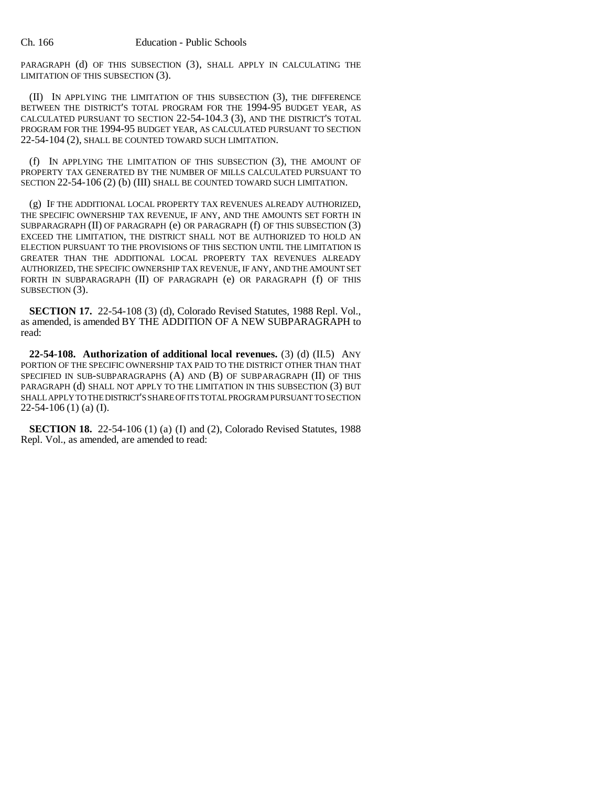PARAGRAPH (d) OF THIS SUBSECTION (3), SHALL APPLY IN CALCULATING THE LIMITATION OF THIS SUBSECTION (3).

(II) IN APPLYING THE LIMITATION OF THIS SUBSECTION (3), THE DIFFERENCE BETWEEN THE DISTRICT'S TOTAL PROGRAM FOR THE 1994-95 BUDGET YEAR, AS CALCULATED PURSUANT TO SECTION 22-54-104.3 (3), AND THE DISTRICT'S TOTAL PROGRAM FOR THE 1994-95 BUDGET YEAR, AS CALCULATED PURSUANT TO SECTION 22-54-104 (2), SHALL BE COUNTED TOWARD SUCH LIMITATION.

(f) IN APPLYING THE LIMITATION OF THIS SUBSECTION (3), THE AMOUNT OF PROPERTY TAX GENERATED BY THE NUMBER OF MILLS CALCULATED PURSUANT TO SECTION 22-54-106 (2) (b) (III) SHALL BE COUNTED TOWARD SUCH LIMITATION.

(g) IF THE ADDITIONAL LOCAL PROPERTY TAX REVENUES ALREADY AUTHORIZED, THE SPECIFIC OWNERSHIP TAX REVENUE, IF ANY, AND THE AMOUNTS SET FORTH IN SUBPARAGRAPH (II) OF PARAGRAPH (e) OR PARAGRAPH (f) OF THIS SUBSECTION (3) EXCEED THE LIMITATION, THE DISTRICT SHALL NOT BE AUTHORIZED TO HOLD AN ELECTION PURSUANT TO THE PROVISIONS OF THIS SECTION UNTIL THE LIMITATION IS GREATER THAN THE ADDITIONAL LOCAL PROPERTY TAX REVENUES ALREADY AUTHORIZED, THE SPECIFIC OWNERSHIP TAX REVENUE, IF ANY, AND THE AMOUNT SET FORTH IN SUBPARAGRAPH (II) OF PARAGRAPH (e) OR PARAGRAPH (f) OF THIS SUBSECTION (3).

**SECTION 17.** 22-54-108 (3) (d), Colorado Revised Statutes, 1988 Repl. Vol., as amended, is amended BY THE ADDITION OF A NEW SUBPARAGRAPH to read:

**22-54-108. Authorization of additional local revenues.** (3) (d) (II.5) ANY PORTION OF THE SPECIFIC OWNERSHIP TAX PAID TO THE DISTRICT OTHER THAN THAT SPECIFIED IN SUB-SUBPARAGRAPHS (A) AND (B) OF SUBPARAGRAPH (II) OF THIS PARAGRAPH (d) SHALL NOT APPLY TO THE LIMITATION IN THIS SUBSECTION (3) BUT SHALL APPLY TO THE DISTRICT'S SHARE OF ITS TOTAL PROGRAM PURSUANT TO SECTION  $22-54-106(1)$  (a) (I).

**SECTION 18.** 22-54-106 (1) (a) (I) and (2), Colorado Revised Statutes, 1988 Repl. Vol., as amended, are amended to read: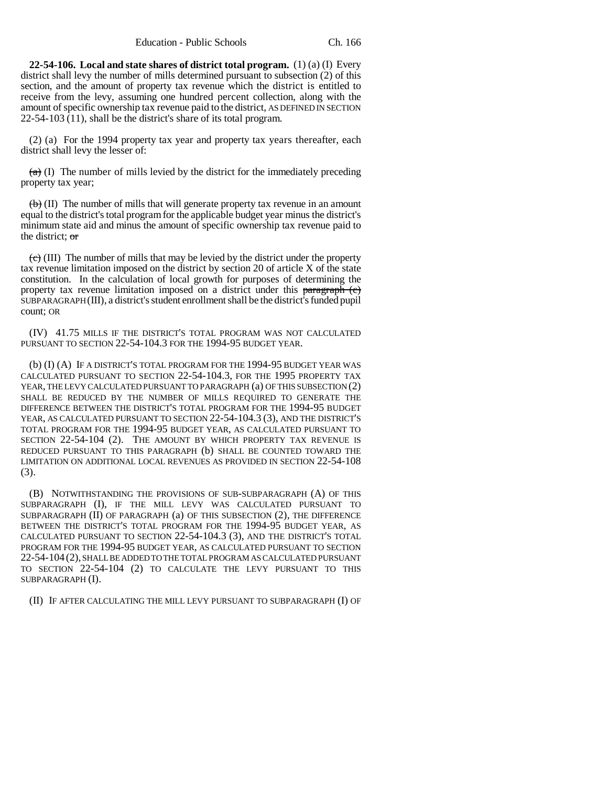**22-54-106. Local and state shares of district total program.** (1) (a) (I) Every district shall levy the number of mills determined pursuant to subsection (2) of this section, and the amount of property tax revenue which the district is entitled to receive from the levy, assuming one hundred percent collection, along with the amount of specific ownership tax revenue paid to the district, AS DEFINED IN SECTION 22-54-103 (11), shall be the district's share of its total program.

(2) (a) For the 1994 property tax year and property tax years thereafter, each district shall levy the lesser of:

 $(a)$  (I) The number of mills levied by the district for the immediately preceding property tax year;

 $\langle \theta \rangle$  (II) The number of mills that will generate property tax revenue in an amount equal to the district's total program for the applicable budget year minus the district's minimum state aid and minus the amount of specific ownership tax revenue paid to the district; or

 $\left(\frac{e}{c}\right)$  (III) The number of mills that may be levied by the district under the property tax revenue limitation imposed on the district by section 20 of article X of the state constitution. In the calculation of local growth for purposes of determining the property tax revenue limitation imposed on a district under this paragraph  $(e)$ SUBPARAGRAPH (III), a district's student enrollment shall be the district's funded pupil count; OR

(IV) 41.75 MILLS IF THE DISTRICT'S TOTAL PROGRAM WAS NOT CALCULATED PURSUANT TO SECTION 22-54-104.3 FOR THE 1994-95 BUDGET YEAR.

(b) (I) (A) IF A DISTRICT'S TOTAL PROGRAM FOR THE 1994-95 BUDGET YEAR WAS CALCULATED PURSUANT TO SECTION 22-54-104.3, FOR THE 1995 PROPERTY TAX YEAR, THE LEVY CALCULATED PURSUANT TO PARAGRAPH (a) OF THIS SUBSECTION (2) SHALL BE REDUCED BY THE NUMBER OF MILLS REQUIRED TO GENERATE THE DIFFERENCE BETWEEN THE DISTRICT'S TOTAL PROGRAM FOR THE 1994-95 BUDGET YEAR, AS CALCULATED PURSUANT TO SECTION 22-54-104.3 (3), AND THE DISTRICT'S TOTAL PROGRAM FOR THE 1994-95 BUDGET YEAR, AS CALCULATED PURSUANT TO SECTION 22-54-104 (2). THE AMOUNT BY WHICH PROPERTY TAX REVENUE IS REDUCED PURSUANT TO THIS PARAGRAPH (b) SHALL BE COUNTED TOWARD THE LIMITATION ON ADDITIONAL LOCAL REVENUES AS PROVIDED IN SECTION 22-54-108 (3).

(B) NOTWITHSTANDING THE PROVISIONS OF SUB-SUBPARAGRAPH (A) OF THIS SUBPARAGRAPH (I), IF THE MILL LEVY WAS CALCULATED PURSUANT TO SUBPARAGRAPH (II) OF PARAGRAPH (a) OF THIS SUBSECTION (2), THE DIFFERENCE BETWEEN THE DISTRICT'S TOTAL PROGRAM FOR THE 1994-95 BUDGET YEAR, AS CALCULATED PURSUANT TO SECTION 22-54-104.3 (3), AND THE DISTRICT'S TOTAL PROGRAM FOR THE 1994-95 BUDGET YEAR, AS CALCULATED PURSUANT TO SECTION 22-54-104 (2), SHALL BE ADDED TO THE TOTAL PROGRAM AS CALCULATED PURSUANT TO SECTION 22-54-104 (2) TO CALCULATE THE LEVY PURSUANT TO THIS SUBPARAGRAPH (I).

(II) IF AFTER CALCULATING THE MILL LEVY PURSUANT TO SUBPARAGRAPH (I) OF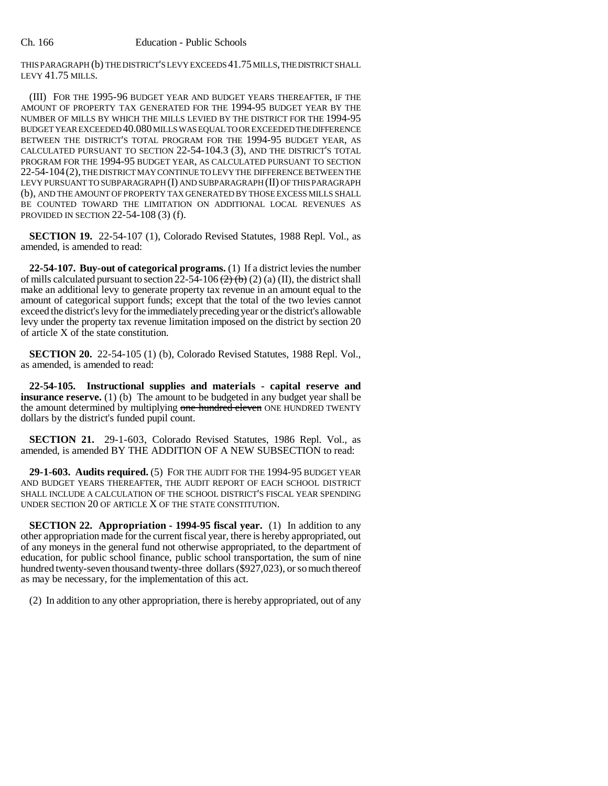THIS PARAGRAPH (b) THE DISTRICT'S LEVY EXCEEDS 41.75 MILLS, THE DISTRICT SHALL LEVY 41.75 MILLS.

(III) FOR THE 1995-96 BUDGET YEAR AND BUDGET YEARS THEREAFTER, IF THE AMOUNT OF PROPERTY TAX GENERATED FOR THE 1994-95 BUDGET YEAR BY THE NUMBER OF MILLS BY WHICH THE MILLS LEVIED BY THE DISTRICT FOR THE 1994-95 BUDGET YEAR EXCEEDED 40.080 MILLS WAS EQUAL TO OR EXCEEDED THE DIFFERENCE BETWEEN THE DISTRICT'S TOTAL PROGRAM FOR THE 1994-95 BUDGET YEAR, AS CALCULATED PURSUANT TO SECTION 22-54-104.3 (3), AND THE DISTRICT'S TOTAL PROGRAM FOR THE 1994-95 BUDGET YEAR, AS CALCULATED PURSUANT TO SECTION 22-54-104(2), THE DISTRICT MAY CONTINUE TO LEVY THE DIFFERENCE BETWEEN THE LEVY PURSUANT TO SUBPARAGRAPH (I) AND SUBPARAGRAPH (II) OF THIS PARAGRAPH (b), AND THE AMOUNT OF PROPERTY TAX GENERATED BY THOSE EXCESS MILLS SHALL BE COUNTED TOWARD THE LIMITATION ON ADDITIONAL LOCAL REVENUES AS PROVIDED IN SECTION 22-54-108 (3) (f).

**SECTION 19.** 22-54-107 (1), Colorado Revised Statutes, 1988 Repl. Vol., as amended, is amended to read:

**22-54-107. Buy-out of categorical programs.** (1) If a district levies the number of mills calculated pursuant to section  $22-54-106$   $\left(\frac{2}{5}\right)$  (b) (2) (a) (II), the district shall make an additional levy to generate property tax revenue in an amount equal to the amount of categorical support funds; except that the total of the two levies cannot exceed the district's levy for the immediately preceding year or the district's allowable levy under the property tax revenue limitation imposed on the district by section 20 of article X of the state constitution.

**SECTION 20.** 22-54-105 (1) (b), Colorado Revised Statutes, 1988 Repl. Vol., as amended, is amended to read:

**22-54-105. Instructional supplies and materials - capital reserve and insurance reserve.** (1) (b) The amount to be budgeted in any budget year shall be the amount determined by multiplying one hundred eleven ONE HUNDRED TWENTY dollars by the district's funded pupil count.

**SECTION 21.** 29-1-603, Colorado Revised Statutes, 1986 Repl. Vol., as amended, is amended BY THE ADDITION OF A NEW SUBSECTION to read:

**29-1-603. Audits required.** (5) FOR THE AUDIT FOR THE 1994-95 BUDGET YEAR AND BUDGET YEARS THEREAFTER, THE AUDIT REPORT OF EACH SCHOOL DISTRICT SHALL INCLUDE A CALCULATION OF THE SCHOOL DISTRICT'S FISCAL YEAR SPENDING UNDER SECTION 20 OF ARTICLE X OF THE STATE CONSTITUTION.

**SECTION 22. Appropriation - 1994-95 fiscal year.** (1) In addition to any other appropriation made for the current fiscal year, there is hereby appropriated, out of any moneys in the general fund not otherwise appropriated, to the department of education, for public school finance, public school transportation, the sum of nine hundred twenty-seven thousand twenty-three dollars (\$927,023), or so much thereof as may be necessary, for the implementation of this act.

(2) In addition to any other appropriation, there is hereby appropriated, out of any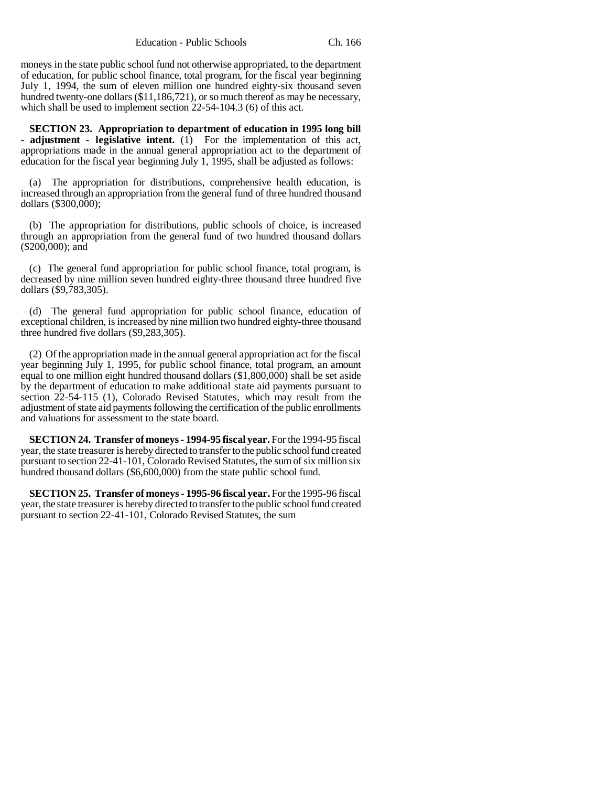moneys in the state public school fund not otherwise appropriated, to the department of education, for public school finance, total program, for the fiscal year beginning July 1, 1994, the sum of eleven million one hundred eighty-six thousand seven hundred twenty-one dollars (\$11,186,721), or so much thereof as may be necessary, which shall be used to implement section 22-54-104.3 (6) of this act.

**SECTION 23. Appropriation to department of education in 1995 long bill - adjustment - legislative intent.** (1) For the implementation of this act, appropriations made in the annual general appropriation act to the department of education for the fiscal year beginning July 1, 1995, shall be adjusted as follows:

(a) The appropriation for distributions, comprehensive health education, is increased through an appropriation from the general fund of three hundred thousand dollars (\$300,000);

(b) The appropriation for distributions, public schools of choice, is increased through an appropriation from the general fund of two hundred thousand dollars (\$200,000); and

(c) The general fund appropriation for public school finance, total program, is decreased by nine million seven hundred eighty-three thousand three hundred five dollars (\$9,783,305).

(d) The general fund appropriation for public school finance, education of exceptional children, is increased by nine million two hundred eighty-three thousand three hundred five dollars (\$9,283,305).

(2) Of the appropriation made in the annual general appropriation act for the fiscal year beginning July 1, 1995, for public school finance, total program, an amount equal to one million eight hundred thousand dollars (\$1,800,000) shall be set aside by the department of education to make additional state aid payments pursuant to section 22-54-115 (1), Colorado Revised Statutes, which may result from the adjustment of state aid payments following the certification of the public enrollments and valuations for assessment to the state board.

**SECTION 24. Transfer of moneys - 1994-95 fiscal year.** For the 1994-95 fiscal year, the state treasurer is hereby directed to transfer to the public school fund created pursuant to section 22-41-101, Colorado Revised Statutes, the sum of six million six hundred thousand dollars (\$6,600,000) from the state public school fund.

**SECTION 25. Transfer of moneys - 1995-96 fiscal year.** For the 1995-96 fiscal year, the state treasurer is hereby directed to transfer to the public school fund created pursuant to section 22-41-101, Colorado Revised Statutes, the sum